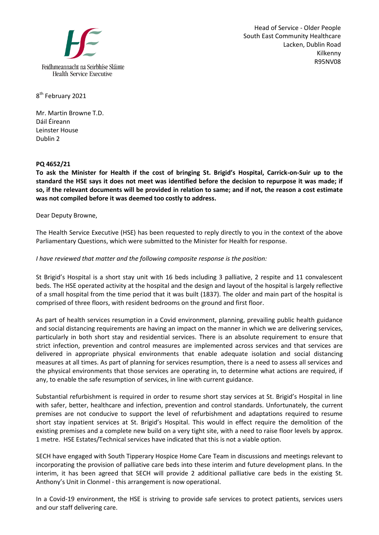

Head of Service - Older People South East Community Healthcare Lacken, Dublin Road Kilkenny R95NV08

8<sup>th</sup> February 2021

Mr. Martin Browne T.D. Dáil Éireann Leinster House Dublin 2

## **PQ 4652/21**

**To ask the Minister for Health if the cost of bringing St. Brigid's Hospital, Carrick-on-Suir up to the standard the HSE says it does not meet was identified before the decision to repurpose it was made; if so, if the relevant documents will be provided in relation to same; and if not, the reason a cost estimate was not compiled before it was deemed too costly to address.** 

Dear Deputy Browne,

The Health Service Executive (HSE) has been requested to reply directly to you in the context of the above Parliamentary Questions, which were submitted to the Minister for Health for response.

## *I have reviewed that matter and the following composite response is the position:*

St Brigid's Hospital is a short stay unit with 16 beds including 3 palliative, 2 respite and 11 convalescent beds. The HSE operated activity at the hospital and the design and layout of the hospital is largely reflective of a small hospital from the time period that it was built (1837). The older and main part of the hospital is comprised of three floors, with resident bedrooms on the ground and first floor.

As part of health services resumption in a Covid environment, planning, prevailing public health guidance and social distancing requirements are having an impact on the manner in which we are delivering services, particularly in both short stay and residential services. There is an absolute requirement to ensure that strict infection, prevention and control measures are implemented across services and that services are delivered in appropriate physical environments that enable adequate isolation and social distancing measures at all times. As part of planning for services resumption, there is a need to assess all services and the physical environments that those services are operating in, to determine what actions are required, if any, to enable the safe resumption of services, in line with current guidance.

Substantial refurbishment is required in order to resume short stay services at St. Brigid's Hospital in line with safer, better, healthcare and infection, prevention and control standards. Unfortunately, the current premises are not conducive to support the level of refurbishment and adaptations required to resume short stay inpatient services at St. Brigid's Hospital. This would in effect require the demolition of the existing premises and a complete new build on a very tight site, with a need to raise floor levels by approx. 1 metre. HSE Estates/Technical services have indicated that this is not a viable option.

SECH have engaged with South Tipperary Hospice Home Care Team in discussions and meetings relevant to incorporating the provision of palliative care beds into these interim and future development plans. In the interim, it has been agreed that SECH will provide 2 additional palliative care beds in the existing St. Anthony's Unit in Clonmel - this arrangement is now operational.

In a Covid-19 environment, the HSE is striving to provide safe services to protect patients, services users and our staff delivering care.